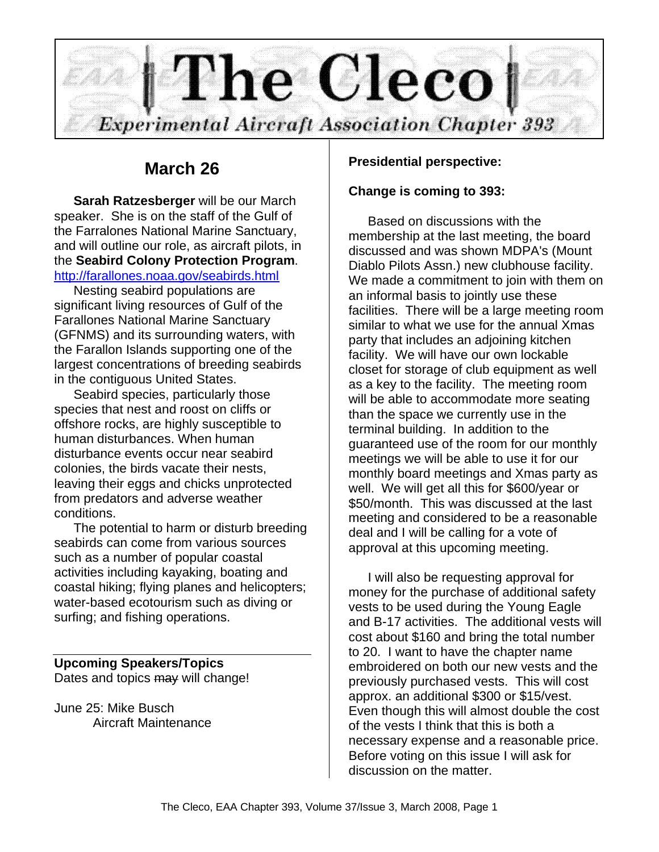

# **March 26**

**Sarah Ratzesberger** will be our March speaker. She is on the staff of the Gulf of the Farralones National Marine Sanctuary, and will outline our role, as aircraft pilots, in the **Seabird Colony Protection Program**. http://farallones.noaa.gov/seabirds.html

Nesting seabird populations are significant living resources of Gulf of the Farallones National Marine Sanctuary (GFNMS) and its surrounding waters, with the Farallon Islands supporting one of the largest concentrations of breeding seabirds in the contiguous United States.

Seabird species, particularly those species that nest and roost on cliffs or offshore rocks, are highly susceptible to human disturbances. When human disturbance events occur near seabird colonies, the birds vacate their nests, leaving their eggs and chicks unprotected from predators and adverse weather conditions.

The potential to harm or disturb breeding seabirds can come from various sources such as a number of popular coastal activities including kayaking, boating and coastal hiking; flying planes and helicopters; water-based ecotourism such as diving or surfing; and fishing operations.

# **Upcoming Speakers/Topics**

Dates and topics may will change!

June 25: Mike Busch Aircraft Maintenance

## **Presidential perspective:**

## **Change is coming to 393:**

Based on discussions with the membership at the last meeting, the board discussed and was shown MDPA's (Mount Diablo Pilots Assn.) new clubhouse facility. We made a commitment to join with them on an informal basis to jointly use these facilities. There will be a large meeting room similar to what we use for the annual Xmas party that includes an adjoining kitchen facility. We will have our own lockable closet for storage of club equipment as well as a key to the facility. The meeting room will be able to accommodate more seating than the space we currently use in the terminal building. In addition to the guaranteed use of the room for our monthly meetings we will be able to use it for our monthly board meetings and Xmas party as well. We will get all this for \$600/year or \$50/month. This was discussed at the last meeting and considered to be a reasonable deal and I will be calling for a vote of approval at this upcoming meeting.

I will also be requesting approval for money for the purchase of additional safety vests to be used during the Young Eagle and B-17 activities. The additional vests will cost about \$160 and bring the total number to 20. I want to have the chapter name embroidered on both our new vests and the previously purchased vests. This will cost approx. an additional \$300 or \$15/vest. Even though this will almost double the cost of the vests I think that this is both a necessary expense and a reasonable price. Before voting on this issue I will ask for discussion on the matter.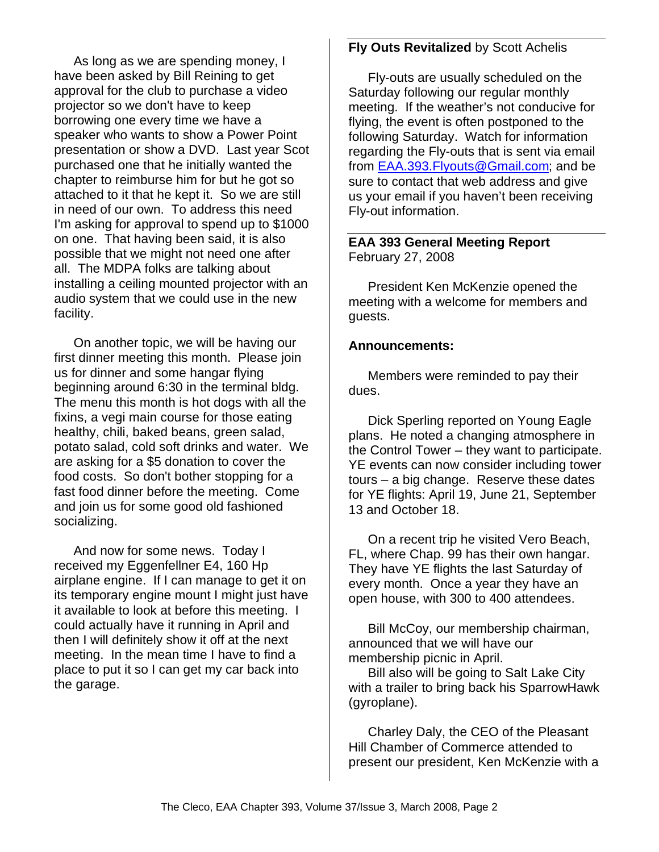As long as we are spending money, I have been asked by Bill Reining to get approval for the club to purchase a video projector so we don't have to keep borrowing one every time we have a speaker who wants to show a Power Point presentation or show a DVD. Last year Scot purchased one that he initially wanted the chapter to reimburse him for but he got so attached to it that he kept it. So we are still in need of our own. To address this need I'm asking for approval to spend up to \$1000 on one. That having been said, it is also possible that we might not need one after all. The MDPA folks are talking about installing a ceiling mounted projector with an audio system that we could use in the new facility.

On another topic, we will be having our first dinner meeting this month. Please join us for dinner and some hangar flying beginning around 6:30 in the terminal bldg. The menu this month is hot dogs with all the fixins, a vegi main course for those eating healthy, chili, baked beans, green salad, potato salad, cold soft drinks and water. We are asking for a \$5 donation to cover the food costs. So don't bother stopping for a fast food dinner before the meeting. Come and join us for some good old fashioned socializing.

And now for some news. Today I received my Eggenfellner E4, 160 Hp airplane engine. If I can manage to get it on its temporary engine mount I might just have it available to look at before this meeting. I could actually have it running in April and then I will definitely show it off at the next meeting. In the mean time I have to find a place to put it so I can get my car back into the garage.

## **Fly Outs Revitalized** by Scott Achelis

Fly-outs are usually scheduled on the Saturday following our regular monthly meeting. If the weather's not conducive for flying, the event is often postponed to the following Saturday. Watch for information regarding the Fly-outs that is sent via email from EAA.393.Flyouts@Gmail.com; and be sure to contact that web address and give us your email if you haven't been receiving Fly-out information.

#### **EAA 393 General Meeting Report** February 27, 2008

President Ken McKenzie opened the meeting with a welcome for members and guests.

#### **Announcements:**

Members were reminded to pay their dues.

Dick Sperling reported on Young Eagle plans. He noted a changing atmosphere in the Control Tower – they want to participate. YE events can now consider including tower tours – a big change. Reserve these dates for YE flights: April 19, June 21, September 13 and October 18.

On a recent trip he visited Vero Beach, FL, where Chap. 99 has their own hangar. They have YE flights the last Saturday of every month. Once a year they have an open house, with 300 to 400 attendees.

Bill McCoy, our membership chairman, announced that we will have our membership picnic in April.

Bill also will be going to Salt Lake City with a trailer to bring back his SparrowHawk (gyroplane).

Charley Daly, the CEO of the Pleasant Hill Chamber of Commerce attended to present our president, Ken McKenzie with a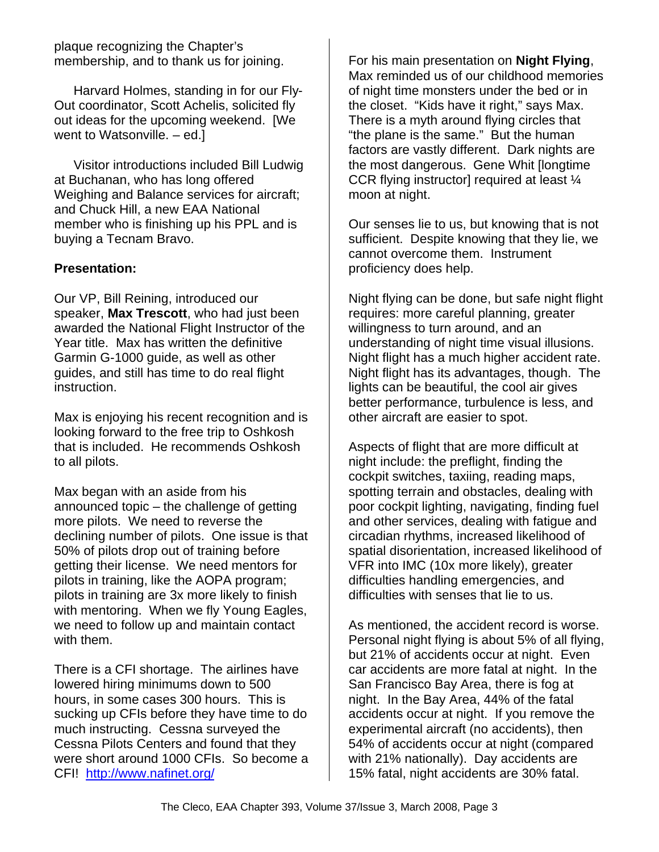plaque recognizing the Chapter's membership, and to thank us for joining.

Harvard Holmes, standing in for our Fly-Out coordinator, Scott Achelis, solicited fly out ideas for the upcoming weekend. [We went to Watsonville. – ed.]

Visitor introductions included Bill Ludwig at Buchanan, who has long offered Weighing and Balance services for aircraft; and Chuck Hill, a new EAA National member who is finishing up his PPL and is buying a Tecnam Bravo.

# **Presentation:**

Our VP, Bill Reining, introduced our speaker, **Max Trescott**, who had just been awarded the National Flight Instructor of the Year title. Max has written the definitive Garmin G-1000 guide, as well as other guides, and still has time to do real flight instruction.

Max is enjoying his recent recognition and is looking forward to the free trip to Oshkosh that is included. He recommends Oshkosh to all pilots.

Max began with an aside from his announced topic – the challenge of getting more pilots. We need to reverse the declining number of pilots. One issue is that 50% of pilots drop out of training before getting their license. We need mentors for pilots in training, like the AOPA program; pilots in training are 3x more likely to finish with mentoring. When we fly Young Eagles. we need to follow up and maintain contact with them.

There is a CFI shortage. The airlines have lowered hiring minimums down to 500 hours, in some cases 300 hours. This is sucking up CFIs before they have time to do much instructing. Cessna surveyed the Cessna Pilots Centers and found that they were short around 1000 CFIs. So become a CFI! http://www.nafinet.org/

For his main presentation on **Night Flying**, Max reminded us of our childhood memories of night time monsters under the bed or in the closet. "Kids have it right," says Max. There is a myth around flying circles that "the plane is the same." But the human factors are vastly different. Dark nights are the most dangerous. Gene Whit [longtime CCR flying instructor] required at least ¼ moon at night.

Our senses lie to us, but knowing that is not sufficient. Despite knowing that they lie, we cannot overcome them. Instrument proficiency does help.

Night flying can be done, but safe night flight requires: more careful planning, greater willingness to turn around, and an understanding of night time visual illusions. Night flight has a much higher accident rate. Night flight has its advantages, though. The lights can be beautiful, the cool air gives better performance, turbulence is less, and other aircraft are easier to spot.

Aspects of flight that are more difficult at night include: the preflight, finding the cockpit switches, taxiing, reading maps, spotting terrain and obstacles, dealing with poor cockpit lighting, navigating, finding fuel and other services, dealing with fatigue and circadian rhythms, increased likelihood of spatial disorientation, increased likelihood of VFR into IMC (10x more likely), greater difficulties handling emergencies, and difficulties with senses that lie to us.

As mentioned, the accident record is worse. Personal night flying is about 5% of all flying, but 21% of accidents occur at night. Even car accidents are more fatal at night. In the San Francisco Bay Area, there is fog at night. In the Bay Area, 44% of the fatal accidents occur at night. If you remove the experimental aircraft (no accidents), then 54% of accidents occur at night (compared with 21% nationally). Day accidents are 15% fatal, night accidents are 30% fatal.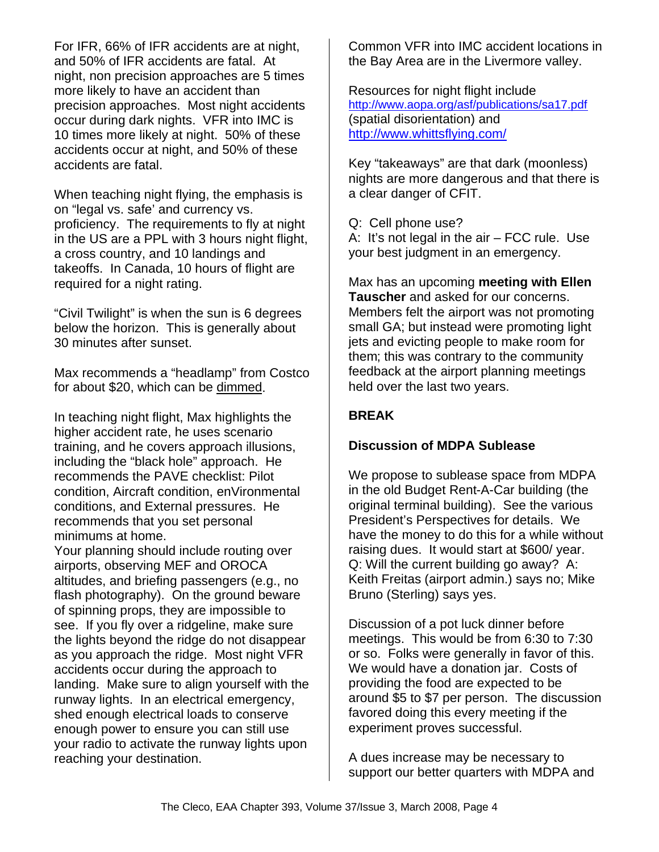For IFR, 66% of IFR accidents are at night, and 50% of IFR accidents are fatal. At night, non precision approaches are 5 times more likely to have an accident than precision approaches. Most night accidents occur during dark nights. VFR into IMC is 10 times more likely at night. 50% of these accidents occur at night, and 50% of these accidents are fatal.

When teaching night flying, the emphasis is on "legal vs. safe' and currency vs. proficiency. The requirements to fly at night in the US are a PPL with 3 hours night flight, a cross country, and 10 landings and takeoffs. In Canada, 10 hours of flight are required for a night rating.

"Civil Twilight" is when the sun is 6 degrees below the horizon. This is generally about 30 minutes after sunset.

Max recommends a "headlamp" from Costco for about \$20, which can be dimmed.

In teaching night flight, Max highlights the higher accident rate, he uses scenario training, and he covers approach illusions, including the "black hole" approach. He recommends the PAVE checklist: Pilot condition, Aircraft condition, enVironmental conditions, and External pressures. He recommends that you set personal minimums at home.

Your planning should include routing over airports, observing MEF and OROCA altitudes, and briefing passengers (e.g., no flash photography). On the ground beware of spinning props, they are impossible to see. If you fly over a ridgeline, make sure the lights beyond the ridge do not disappear as you approach the ridge. Most night VFR accidents occur during the approach to landing. Make sure to align yourself with the runway lights. In an electrical emergency, shed enough electrical loads to conserve enough power to ensure you can still use your radio to activate the runway lights upon reaching your destination.

Common VFR into IMC accident locations in the Bay Area are in the Livermore valley.

Resources for night flight include http://www.aopa.org/asf/publications/sa17.pdf (spatial disorientation) and http://www.whittsflying.com/

Key "takeaways" are that dark (moonless) nights are more dangerous and that there is a clear danger of CFIT.

Q: Cell phone use?

A: It's not legal in the air – FCC rule. Use your best judgment in an emergency.

Max has an upcoming **meeting with Ellen Tauscher** and asked for our concerns. Members felt the airport was not promoting small GA; but instead were promoting light jets and evicting people to make room for them; this was contrary to the community feedback at the airport planning meetings held over the last two years.

# **BREAK**

# **Discussion of MDPA Sublease**

We propose to sublease space from MDPA in the old Budget Rent-A-Car building (the original terminal building). See the various President's Perspectives for details. We have the money to do this for a while without raising dues. It would start at \$600/ year. Q: Will the current building go away? A: Keith Freitas (airport admin.) says no; Mike Bruno (Sterling) says yes.

Discussion of a pot luck dinner before meetings. This would be from 6:30 to 7:30 or so. Folks were generally in favor of this. We would have a donation jar. Costs of providing the food are expected to be around \$5 to \$7 per person. The discussion favored doing this every meeting if the experiment proves successful.

A dues increase may be necessary to support our better quarters with MDPA and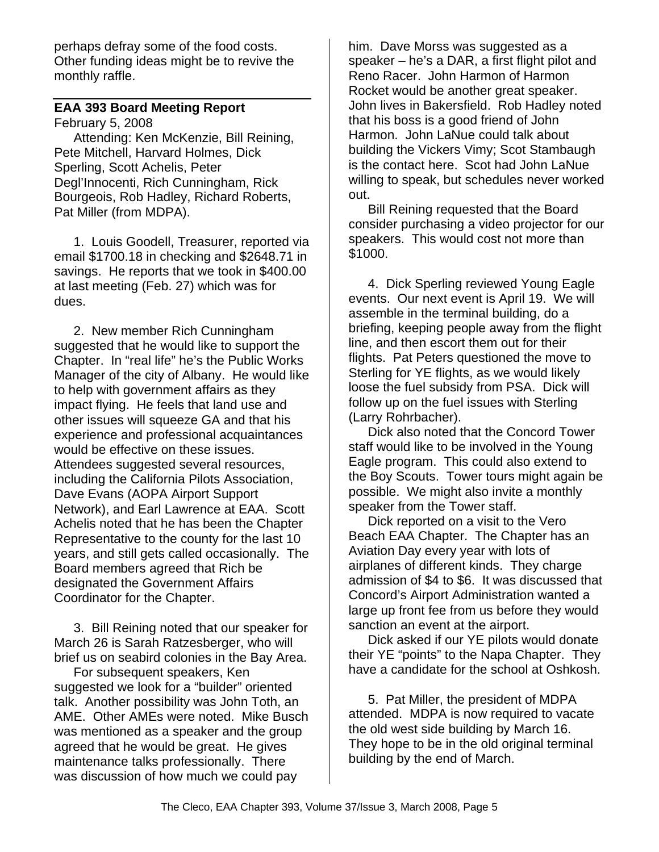perhaps defray some of the food costs. Other funding ideas might be to revive the monthly raffle.

# **EAA 393 Board Meeting Report**

February 5, 2008

Attending: Ken McKenzie, Bill Reining, Pete Mitchell, Harvard Holmes, Dick Sperling, Scott Achelis, Peter Degl'Innocenti, Rich Cunningham, Rick Bourgeois, Rob Hadley, Richard Roberts, Pat Miller (from MDPA).

1. Louis Goodell, Treasurer, reported via email \$1700.18 in checking and \$2648.71 in savings. He reports that we took in \$400.00 at last meeting (Feb. 27) which was for dues.

2. New member Rich Cunningham suggested that he would like to support the Chapter. In "real life" he's the Public Works Manager of the city of Albany. He would like to help with government affairs as they impact flying. He feels that land use and other issues will squeeze GA and that his experience and professional acquaintances would be effective on these issues. Attendees suggested several resources, including the California Pilots Association, Dave Evans (AOPA Airport Support Network), and Earl Lawrence at EAA. Scott Achelis noted that he has been the Chapter Representative to the county for the last 10 years, and still gets called occasionally. The Board members agreed that Rich be designated the Government Affairs Coordinator for the Chapter.

3. Bill Reining noted that our speaker for March 26 is Sarah Ratzesberger, who will brief us on seabird colonies in the Bay Area.

For subsequent speakers, Ken suggested we look for a "builder" oriented talk. Another possibility was John Toth, an AME. Other AMEs were noted. Mike Busch was mentioned as a speaker and the group agreed that he would be great. He gives maintenance talks professionally. There was discussion of how much we could pay

him. Dave Morss was suggested as a speaker – he's a DAR, a first flight pilot and Reno Racer. John Harmon of Harmon Rocket would be another great speaker. John lives in Bakersfield. Rob Hadley noted that his boss is a good friend of John Harmon. John LaNue could talk about building the Vickers Vimy; Scot Stambaugh is the contact here. Scot had John LaNue willing to speak, but schedules never worked out.

Bill Reining requested that the Board consider purchasing a video projector for our speakers. This would cost not more than \$1000.

4. Dick Sperling reviewed Young Eagle events. Our next event is April 19. We will assemble in the terminal building, do a briefing, keeping people away from the flight line, and then escort them out for their flights. Pat Peters questioned the move to Sterling for YE flights, as we would likely loose the fuel subsidy from PSA. Dick will follow up on the fuel issues with Sterling (Larry Rohrbacher).

Dick also noted that the Concord Tower staff would like to be involved in the Young Eagle program. This could also extend to the Boy Scouts. Tower tours might again be possible. We might also invite a monthly speaker from the Tower staff.

Dick reported on a visit to the Vero Beach EAA Chapter. The Chapter has an Aviation Day every year with lots of airplanes of different kinds. They charge admission of \$4 to \$6. It was discussed that Concord's Airport Administration wanted a large up front fee from us before they would sanction an event at the airport.

Dick asked if our YE pilots would donate their YE "points" to the Napa Chapter. They have a candidate for the school at Oshkosh.

5. Pat Miller, the president of MDPA attended. MDPA is now required to vacate the old west side building by March 16. They hope to be in the old original terminal building by the end of March.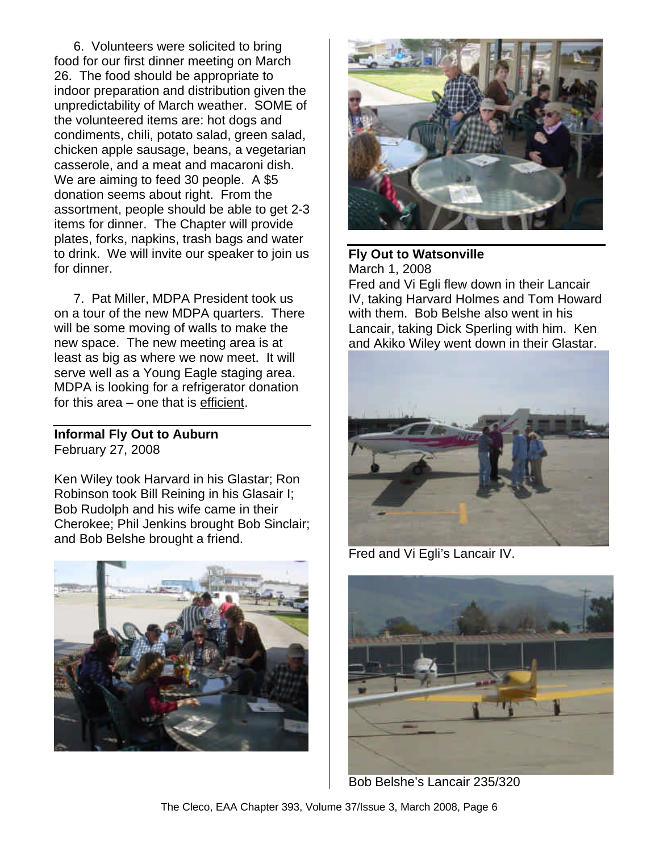6. Volunteers were solicited to bring food for our first dinner meeting on March 26. The food should be appropriate to indoor preparation and distribution given the unpredictability of March weather. SOME of the volunteered items are: hot dogs and condiments, chili, potato salad, green salad, chicken apple sausage, beans, a vegetarian casserole, and a meat and macaroni dish. We are aiming to feed 30 people. A \$5 donation seems about right. From the assortment, people should be able to get 2-3 items for dinner. The Chapter will provide plates, forks, napkins, trash bags and water to drink. We will invite our speaker to join us for dinner.

7. Pat Miller, MDPA President took us on a tour of the new MDPA quarters. There will be some moving of walls to make the new space. The new meeting area is at least as big as where we now meet. It will serve well as a Young Eagle staging area. MDPA is looking for a refrigerator donation for this area – one that is efficient.

## **Informal Fly Out to Auburn** February 27, 2008

Ken Wiley took Harvard in his Glastar; Ron Robinson took Bill Reining in his Glasair I; Bob Rudolph and his wife came in their Cherokee; Phil Jenkins brought Bob Sinclair; and Bob Belshe brought a friend.





**Fly Out to Watsonville** March 1, 2008 Fred and Vi Egli flew down in their Lancair IV, taking Harvard Holmes and Tom Howard with them. Bob Belshe also went in his Lancair, taking Dick Sperling with him. Ken and Akiko Wiley went down in their Glastar.



Fred and Vi Egli's Lancair IV.



Bob Belshe's Lancair 235/320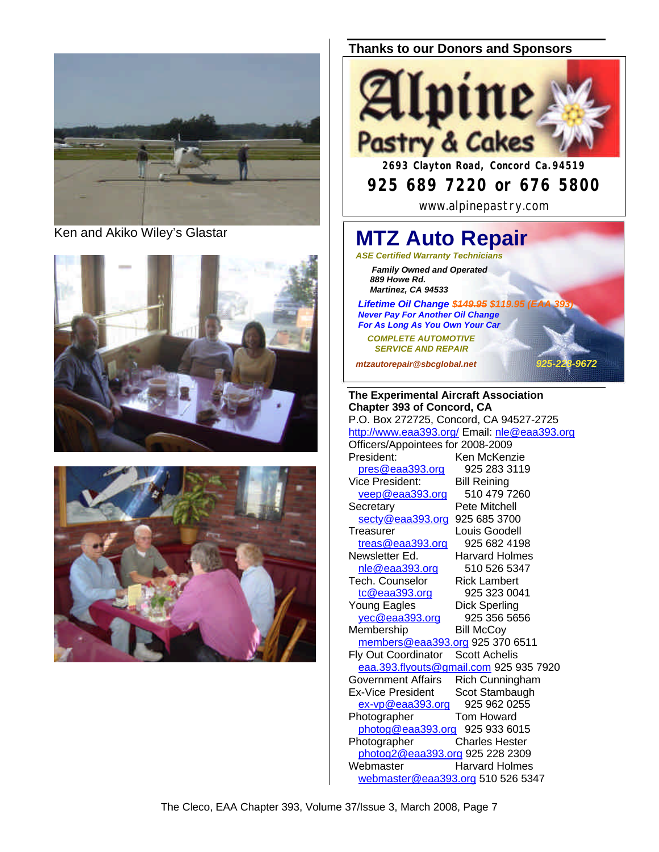

Ken and Akiko Wiley's Glastar





## **Thanks to our Donors and Sponsors**



# **925 689 7220 or 676 5800**

www.alpinepastry.com

# **MTZ Auto Repair**

*ASE Certified Warranty Technicians Family Owned and Operated 889 Howe Rd. Martinez, CA 94533*

**Lifetime Oil Change \$449.95 \$119.95 (B**  *Never Pay For Another Oil Change For As Long As You Own Your Car*

 *COMPLETE AUTOMOTIVE SERVICE AND REPAIR*

*mtzautorepair@sbcglobal.net 925-228-9672*

#### **The Experimental Aircraft Association Chapter 393 of Concord, CA** P.O. Box 272725, Concord, CA 94527-2725 http://www.eaa393.org/ Email: nle@eaa393.org Officers/Appointees for 2008-2009 President: Ken McKenzie pres@eaa393.org 925 283 3119 Vice President: Bill Reining<br>
veep@eaa393.org 510 479 7260  $veep@eaa393.org$ Secretary **Pete Mitchell** secty@eaa393.org 925 685 3700 Treasurer Louis Goodell treas@eaa393.org 925 682 4198 Newsletter Ed. Harvard Holmes nle@eaa393.org 510 526 5347 Tech. Counselor Rick Lambert tc@eaa393.org 925 323 0041 Young Eagles Dick Sperling yec@eaa393.org 925 356 5656 Membership Bill McCoy members@eaa393.org 925 370 6511 Fly Out Coordinator Scott Achelis eaa.393.flyouts@gmail.com 925 935 7920 Government Affairs Rich Cunningham Ex-Vice President Scot Stambaugh ex-vp@eaa393.org 925 962 0255 Photographer Tom Howard photog@eaa393.org 925 933 6015 Photographer Charles Hester photog2@eaa393.org 925 228 2309 Webmaster Harvard Holmes webmaster@eaa393.org 510 526 5347